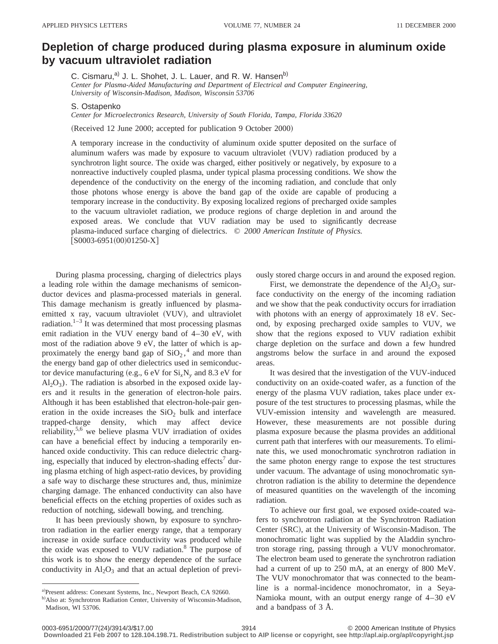## **Depletion of charge produced during plasma exposure in aluminum oxide by vacuum ultraviolet radiation**

C. Cismaru,<sup>a)</sup> J. L. Shohet, J. L. Lauer, and R. W. Hansen<sup>b)</sup> *Center for Plasma-Aided Manufacturing and Department of Electrical and Computer Engineering, University of Wisconsin-Madison, Madison, Wisconsin 53706*

S. Ostapenko

*Center for Microelectronics Research, University of South Florida, Tampa, Florida 33620*

(Received 12 June 2000; accepted for publication 9 October 2000)

A temporary increase in the conductivity of aluminum oxide sputter deposited on the surface of aluminum wafers was made by exposure to vacuum ultraviolet (VUV) radiation produced by a synchrotron light source. The oxide was charged, either positively or negatively, by exposure to a nonreactive inductively coupled plasma, under typical plasma processing conditions. We show the dependence of the conductivity on the energy of the incoming radiation, and conclude that only those photons whose energy is above the band gap of the oxide are capable of producing a temporary increase in the conductivity. By exposing localized regions of precharged oxide samples to the vacuum ultraviolet radiation, we produce regions of charge depletion in and around the exposed areas. We conclude that VUV radiation may be used to significantly decrease plasma-induced surface charging of dielectrics. © *2000 American Institute of Physics.*  $[SO003-6951(00)01250-X]$ 

During plasma processing, charging of dielectrics plays a leading role within the damage mechanisms of semiconductor devices and plasma-processed materials in general. This damage mechanism is greatly influenced by plasmaemitted x ray, vacuum ultraviolet (VUV), and ultraviolet radiation.<sup>1–3</sup> It was determined that most processing plasmas emit radiation in the VUV energy band of 4–30 eV, with most of the radiation above 9 eV, the latter of which is approximately the energy band gap of  $SiO<sub>2</sub>$ ,<sup>4</sup> and more than the energy band gap of other dielectrics used in semiconductor device manufacturing (e.g., 6 eV for  $Si_xN_y$  and 8.3 eV for  $Al<sub>2</sub>O<sub>3</sub>$ ). The radiation is absorbed in the exposed oxide layers and it results in the generation of electron-hole pairs. Although it has been established that electron-hole-pair generation in the oxide increases the  $SiO<sub>2</sub>$  bulk and interface trapped-charge density, which may affect device reliability, $5.6$  we believe plasma VUV irradiation of oxides can have a beneficial effect by inducing a temporarily enhanced oxide conductivity. This can reduce dielectric charging, especially that induced by electron-shading effects<sup>7</sup> during plasma etching of high aspect-ratio devices, by providing a safe way to discharge these structures and, thus, minimize charging damage. The enhanced conductivity can also have beneficial effects on the etching properties of oxides such as reduction of notching, sidewall bowing, and trenching.

It has been previously shown, by exposure to synchrotron radiation in the earlier energy range, that a temporary increase in oxide surface conductivity was produced while the oxide was exposed to VUV radiation.<sup>8</sup> The purpose of this work is to show the energy dependence of the surface conductivity in  $Al_2O_3$  and that an actual depletion of previously stored charge occurs in and around the exposed region.

First, we demonstrate the dependence of the  $Al_2O_3$  surface conductivity on the energy of the incoming radiation and we show that the peak conductivity occurs for irradiation with photons with an energy of approximately 18 eV. Second, by exposing precharged oxide samples to VUV, we show that the regions exposed to VUV radiation exhibit charge depletion on the surface and down a few hundred angstroms below the surface in and around the exposed areas.

It was desired that the investigation of the VUV-induced conductivity on an oxide-coated wafer, as a function of the energy of the plasma VUV radiation, takes place under exposure of the test structures to processing plasmas, while the VUV-emission intensity and wavelength are measured. However, these measurements are not possible during plasma exposure because the plasma provides an additional current path that interferes with our measurements. To eliminate this, we used monochromatic synchrotron radiation in the same photon energy range to expose the test structures under vacuum. The advantage of using monochromatic synchrotron radiation is the ability to determine the dependence of measured quantities on the wavelength of the incoming radiation.

To achieve our first goal, we exposed oxide-coated wafers to synchrotron radiation at the Synchrotron Radiation Center (SRC), at the University of Wisconsin-Madison. The monochromatic light was supplied by the Aladdin synchrotron storage ring, passing through a VUV monochromator. The electron beam used to generate the synchrotron radiation had a current of up to 250 mA, at an energy of 800 MeV. The VUV monochromator that was connected to the beamline is a normal-incidence monochromator, in a Seya-Namioka mount, with an output energy range of 4–30 eV and a bandpass of 3 Å.

a)Present address: Conexant Systems, Inc., Newport Beach, CA 92660.

b) Also at: Synchrotron Radiation Center, University of Wisconsin-Madison, Madison, WI 53706.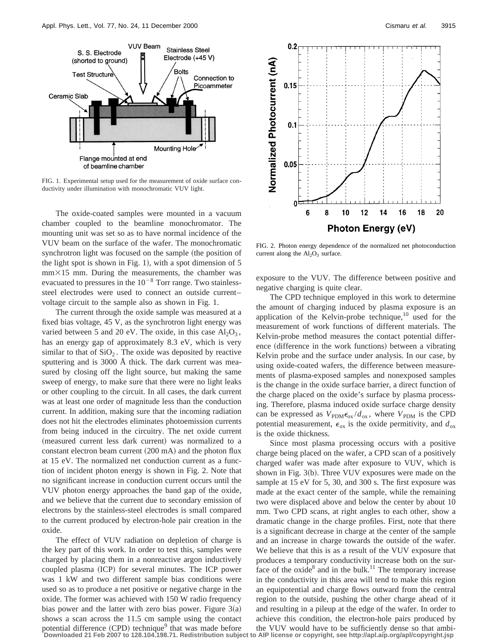

FIG. 1. Experimental setup used for the measurement of oxide surface conductivity under illumination with monochromatic VUV light.

The oxide-coated samples were mounted in a vacuum chamber coupled to the beamline monochromator. The mounting unit was set so as to have normal incidence of the VUV beam on the surface of the wafer. The monochromatic synchrotron light was focused on the sample (the position of the light spot is shown in Fig. 1), with a spot dimension of  $5$  $mm\times15$  mm. During the measurements, the chamber was evacuated to pressures in the  $10^{-8}$  Torr range. Two stainlesssteel electrodes were used to connect an outside current– voltage circuit to the sample also as shown in Fig. 1.

The current through the oxide sample was measured at a fixed bias voltage, 45 V, as the synchrotron light energy was varied between 5 and 20 eV. The oxide, in this case  $Al_2O_3$ , has an energy gap of approximately 8.3 eV, which is very similar to that of  $SiO<sub>2</sub>$ . The oxide was deposited by reactive sputtering and is 3000 Å thick. The dark current was measured by closing off the light source, but making the same sweep of energy, to make sure that there were no light leaks or other coupling to the circuit. In all cases, the dark current was at least one order of magnitude less than the conduction current. In addition, making sure that the incoming radiation does not hit the electrodes eliminates photoemission currents from being induced in the circuitry. The net oxide current (measured current less dark current) was normalized to a constant electron beam current  $(200 \text{ mA})$  and the photon flux at 15 eV. The normalized net conduction current as a function of incident photon energy is shown in Fig. 2. Note that no significant increase in conduction current occurs until the VUV photon energy approaches the band gap of the oxide, and we believe that the current due to secondary emission of electrons by the stainless-steel electrodes is small compared to the current produced by electron-hole pair creation in the oxide.

The effect of VUV radiation on depletion of charge is the key part of this work. In order to test this, samples were charged by placing them in a nonreactive argon inductively coupled plasma (ICP) for several minutes. The ICP power was 1 kW and two different sample bias conditions were used so as to produce a net positive or negative charge in the oxide. The former was achieved with 150 W radio frequency bias power and the latter with zero bias power. Figure  $3(a)$ shows a scan across the 11.5 cm sample using the contact



FIG. 2. Photon energy dependence of the normalized net photoconduction current along the  $Al_2O_3$  surface.

exposure to the VUV. The difference between positive and negative charging is quite clear.

The CPD technique employed in this work to determine the amount of charging induced by plasma exposure is an application of the Kelvin-probe technique, $10$  used for the measurement of work functions of different materials. The Kelvin-probe method measures the contact potential difference (difference in the work functions) between a vibrating Kelvin probe and the surface under analysis. In our case, by using oxide-coated wafers, the difference between measurements of plasma-exposed samples and nonexposed samples is the change in the oxide surface barrier, a direct function of the charge placed on the oxide's surface by plasma processing. Therefore, plasma induced oxide surface charge density can be expressed as  $V_{PDM} \epsilon_{ox} / d_{ox}$ , where  $V_{PDM}$  is the CPD potential measurement,  $\epsilon_{ox}$  is the oxide permitivity, and  $d_{ox}$ is the oxide thickness.

Since most plasma processing occurs with a positive charge being placed on the wafer, a CPD scan of a positively charged wafer was made after exposure to VUV, which is shown in Fig.  $3(b)$ . Three VUV exposures were made on the sample at 15 eV for 5, 30, and 300 s. The first exposure was made at the exact center of the sample, while the remaining two were displaced above and below the center by about 10 mm. Two CPD scans, at right angles to each other, show a dramatic change in the charge profiles. First, note that there is a significant decrease in charge at the center of the sample and an increase in charge towards the outside of the wafer. We believe that this is as a result of the VUV exposure that produces a temporary conductivity increase both on the surface of the oxide<sup>8</sup> and in the bulk.<sup>11</sup> The temporary increase in the conductivity in this area will tend to make this region an equipotential and charge flows outward from the central region to the outside, pushing the other charge ahead of it and resulting in a pileup at the edge of the wafer. In order to achieve this condition, the electron-hole pairs produced by

potential difference (CPD) technique<sup>9</sup> that was made before the VUV would have to be sufficiently dense so that ambi-<br>Downloaded 21 Feb 2007 to 128.104.198.71. Redistribution subject to AIP license or copyright, see http: